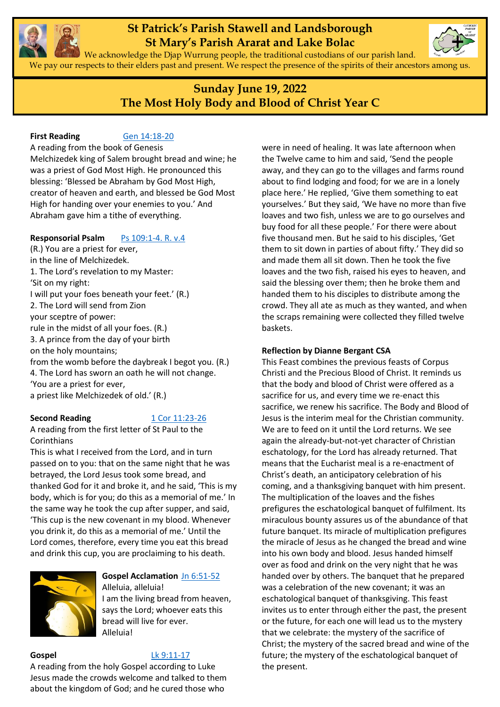

## **St Patrick's Parish Stawell and Landsborough St Mary's Parish Ararat and Lake Bolac**



We acknowledge the Djap Wurrung people, the traditional custodians of our parish land. We pay our respects to their elders past and present. We respect the presence of the spirits of their ancestors among us.

# **Sunday June 19, 2022 The Most Holy Body and Blood of Christ Year C**

**First Reading [Gen 14:18-20](https://www.liturgyhelp.com/ritual/lectionary/LectionaryList%7Cgen#gen014)** 

A reading from the book of Genesis Melchizedek king of Salem brought bread and wine; he was a priest of God Most High. He pronounced this blessing: 'Blessed be Abraham by God Most High, creator of heaven and earth, and blessed be God Most High for handing over your enemies to you.' And Abraham gave him a tithe of everything.

### **Responsorial Psalm** [Ps 109:1-4. R. v.4](https://www.liturgyhelp.com/ritual/lectionary/LectionaryListPsalm%7Cpsm)

(R.) You are a priest for ever, in the line of Melchizedek. 1. The Lord's revelation to my Master: 'Sit on my right: I will put your foes beneath your feet.' (R.) 2. The Lord will send from Zion your sceptre of power: rule in the midst of all your foes. (R.) 3. A prince from the day of your birth on the holy mountains; from the womb before the daybreak I begot you. (R.) 4. The Lord has sworn an oath he will not change. 'You are a priest for ever, a priest like Melchizedek of old.' (R.)

#### **Second Reading** [1 Cor 11:23-26](https://www.liturgyhelp.com/ritual/lectionary/LectionaryList%7Cco1#co1011)

A reading from the first letter of St Paul to the Corinthians

This is what I received from the Lord, and in turn passed on to you: that on the same night that he was betrayed, the Lord Jesus took some bread, and thanked God for it and broke it, and he said, 'This is my body, which is for you; do this as a memorial of me.' In the same way he took the cup after supper, and said, 'This cup is the new covenant in my blood. Whenever you drink it, do this as a memorial of me.' Until the Lord comes, therefore, every time you eat this bread and drink this cup, you are proclaiming to his death.



**Gospel Acclamation** [Jn 6:51-52](https://www.liturgyhelp.com/ritual/lectionary/LectionaryListGosAc%7Cjhn#jhn006) Alleluia, alleluia! I am the living bread from heaven, says the Lord; whoever eats this bread will live for ever. Alleluia!

### **Gospel** [Lk 9:11-17](https://www.liturgyhelp.com/ritual/lectionary/LectionaryList%7Cluk#luk009)

A reading from the holy Gospel according to Luke Jesus made the crowds welcome and talked to them about the kingdom of God; and he cured those who

were in need of healing. It was late afternoon when the Twelve came to him and said, 'Send the people away, and they can go to the villages and farms round about to find lodging and food; for we are in a lonely place here.' He replied, 'Give them something to eat yourselves.' But they said, 'We have no more than five loaves and two fish, unless we are to go ourselves and buy food for all these people.' For there were about five thousand men. But he said to his disciples, 'Get them to sit down in parties of about fifty.' They did so and made them all sit down. Then he took the five loaves and the two fish, raised his eyes to heaven, and said the blessing over them; then he broke them and handed them to his disciples to distribute among the crowd. They all ate as much as they wanted, and when the scraps remaining were collected they filled twelve baskets.

### **Reflection by Dianne Bergant CSA**

This Feast combines the previous feasts of Corpus Christi and the Precious Blood of Christ. It reminds us that the body and blood of Christ were offered as a sacrifice for us, and every time we re-enact this sacrifice, we renew his sacrifice. The Body and Blood of Jesus is the interim meal for the Christian community. We are to feed on it until the Lord returns. We see again the already-but-not-yet character of Christian eschatology, for the Lord has already returned. That means that the Eucharist meal is a re-enactment of Christ's death, an anticipatory celebration of his coming, and a thanksgiving banquet with him present. The multiplication of the loaves and the fishes prefigures the eschatological banquet of fulfilment. Its miraculous bounty assures us of the abundance of that future banquet. Its miracle of multiplication prefigures the miracle of Jesus as he changed the bread and wine into his own body and blood. Jesus handed himself over as food and drink on the very night that he was handed over by others. The banquet that he prepared was a celebration of the new covenant; it was an eschatological banquet of thanksgiving. This feast invites us to enter through either the past, the present or the future, for each one will lead us to the mystery that we celebrate: the mystery of the sacrifice of Christ; the mystery of the sacred bread and wine of the future; the mystery of the eschatological banquet of the present.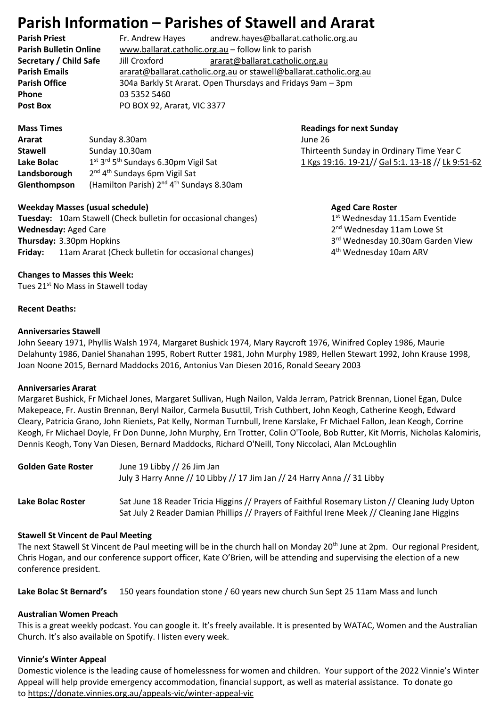# **Parish Information – Parishes of Stawell and Ararat**

**Phone** 03 5352 5460

**Parish Priest** Fr. Andrew Hayes andrew.hayes@ballarat.catholic.org.au **Parish Bulletin Online** [www.ballarat.catholic.org.au](http://www.ballarat.catholic.org.au/) – follow link to parish **Secretary / Child Safe** Jill Croxford [ararat@ballarat.catholic.org.au](mailto:ararat@ballarat.catholic.org.au) **Parish Emails** [ararat@ballarat.catholic.org.au](mailto:ararat@ballarat.catholic.org.au) or [stawell@ballarat.catholic.org.au](mailto:stawell@ballarat.catholic.org.au) **Parish Office** 304a Barkly St Ararat. Open Thursdays and Fridays 9am – 3pm Post Box **PO BOX 92, Ararat, VIC 3377** 

**Ararat Sunday 8.30am June 26 Stawell** Sunday 10.30am **Thirteenth Sunday in Ordinary Time Year C** Sunday in Ordinary Time Year C **Lake Bolac** st 3 rd 5 Landsborough <sup>nd</sup> 4<sup>th</sup> Sundays 6pm Vigil Sat Glenthompson (Hamilton Parish) 2<sup>nd</sup> 4<sup>th</sup> Sundays 8.30am

#### **Weekday Masses (usual schedule)** Masses (usual schedule) Aged Care Roster

**Tuesday:** 10am Stawell (Check bulletin for occasional changes) 1 **Wednesday: Aged Care Thursday: 3.30pm Hopkins Friday:** 11am Ararat (Check bulletin for occasional changes) 4

**Mass Times Construction Construction Construction Construction Construction Construction Construction Construction Construction Construction Construction Construction Construction Construction Construction Construction** [1 Kgs 19:16. 19-21/](https://www.liturgyhelp.com/ritual/lectionary/LectionaryList%7Ckg1#kg1019)/ [Gal 5:1. 13-18](https://www.liturgyhelp.com/ritual/lectionary/LectionaryList%7Cgal#gal005) // [Lk 9:51-62](https://www.liturgyhelp.com/ritual/lectionary/LectionaryList%7Cjhn#jhn020)

 $1<sup>st</sup>$  Wednesday 11.15am Eventide 2<sup>nd</sup> Wednesday 11am Lowe St 3rd Wednesday 10.30am Garden View 4<sup>th</sup> Wednesday 10am ARV

### **Changes to Masses this Week:**

Tues 21<sup>st</sup> No Mass in Stawell today

#### **Recent Deaths:**

#### **Anniversaries Stawell**

John Seeary 1971, Phyllis Walsh 1974, Margaret Bushick 1974, Mary Raycroft 1976, Winifred Copley 1986, Maurie Delahunty 1986, Daniel Shanahan 1995, Robert Rutter 1981, John Murphy 1989, Hellen Stewart 1992, John Krause 1998, Joan Noone 2015, Bernard Maddocks 2016, Antonius Van Diesen 2016, Ronald Seeary 2003

#### **Anniversaries Ararat**

Margaret Bushick, Fr Michael Jones, Margaret Sullivan, Hugh Nailon, Valda Jerram, Patrick Brennan, Lionel Egan, Dulce Makepeace, Fr. Austin Brennan, Beryl Nailor, Carmela Busuttil, Trish Cuthbert, John Keogh, Catherine Keogh, Edward Cleary, Patricia Grano, John Rieniets, Pat Kelly, Norman Turnbull, Irene Karslake, Fr Michael Fallon, Jean Keogh, Corrine Keogh, Fr Michael Doyle, Fr Don Dunne, John Murphy, Ern Trotter, Colin O'Toole, Bob Rutter, Kit Morris, Nicholas Kalomiris, Dennis Keogh, Tony Van Diesen, Bernard Maddocks, Richard O'Neill, Tony Niccolaci, Alan McLoughlin

| Golden Gate Roster | June 19 Libby // 26 Jim Jan<br>July 3 Harry Anne // 10 Libby // 17 Jim Jan // 24 Harry Anna // 31 Libby                                                                                         |
|--------------------|-------------------------------------------------------------------------------------------------------------------------------------------------------------------------------------------------|
| Lake Bolac Roster  | Sat June 18 Reader Tricia Higgins // Prayers of Faithful Rosemary Liston // Cleaning Judy Upton<br>Sat July 2 Reader Damian Phillips // Prayers of Faithful Irene Meek // Cleaning Jane Higgins |

#### **Stawell St Vincent de Paul Meeting**

The next Stawell St Vincent de Paul meeting will be in the church hall on Monday 20<sup>th</sup> June at 2pm. Our regional President, Chris Hogan, and our conference support officer, Kate O'Brien, will be attending and supervising the election of a new conference president.

**Lake Bolac St Bernard's** 150 years foundation stone / 60 years new church Sun Sept 25 11am Mass and lunch

#### **Australian Women Preach**

This is a great weekly podcast. You can google it. It's freely available. It is presented by WATAC, Women and the Australian Church. It's also available on Spotify. I listen every week.

#### **Vinnie's Winter Appeal**

Domestic violence is the leading cause of homelessness for women and children. Your support of the 2022 Vinnie's Winter Appeal will help provide emergency accommodation, financial support, as well as material assistance. To donate go to <https://donate.vinnies.org.au/appeals-vic/winter-appeal-vic>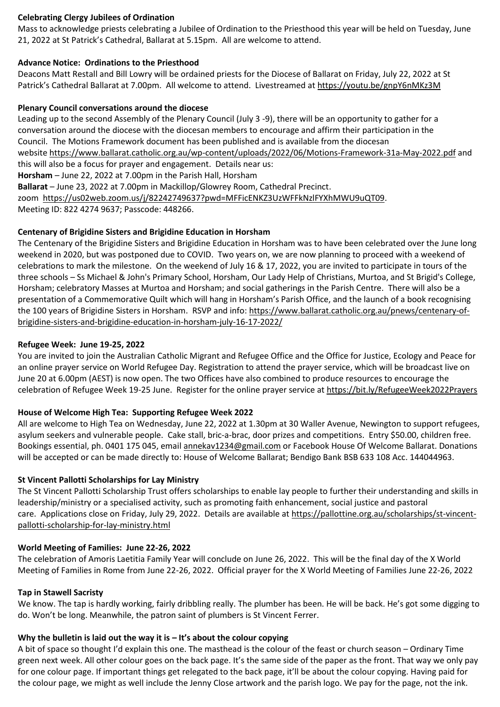#### **Celebrating Clergy Jubilees of Ordination**

Mass to acknowledge priests celebrating a Jubilee of Ordination to the Priesthood this year will be held on Tuesday, June 21, 2022 at St Patrick's Cathedral, Ballarat at 5.15pm. All are welcome to attend.

#### **Advance Notice: Ordinations to the Priesthood**

Deacons Matt Restall and Bill Lowry will be ordained priests for the Diocese of Ballarat on Friday, July 22, 2022 at St Patrick's Cathedral Ballarat at 7.00pm. All welcome to attend. Livestreamed at <https://youtu.be/gnpY6nMKz3M>

#### **Plenary Council conversations around the diocese**

Leading up to the second Assembly of the Plenary Council (July 3 -9), there will be an opportunity to gather for a conversation around the diocese with the diocesan members to encourage and affirm their participation in the Council. The Motions Framework document has been published and is available from the diocesan website <https://www.ballarat.catholic.org.au/wp-content/uploads/2022/06/Motions-Framework-31a-May-2022.pdf> and this will also be a focus for prayer and engagement. Details near us: **Horsham** – June 22, 2022 at 7.00pm in the Parish Hall, Horsham **Ballarat** – June 23, 2022 at 7.00pm in Mackillop/Glowrey Room, Cathedral Precinct. zoom [https://us02web.zoom.us/j/82242749637?pwd=MFFicENKZ3UzWFFkNzlFYXhMWU9uQT09.](https://us02web.zoom.us/j/82242749637?pwd=MFFicENKZ3UzWFFkNzlFYXhMWU9uQT09) Meeting ID: 822 4274 9637; Passcode: 448266.

### **Centenary of Brigidine Sisters and Brigidine Education in Horsham**

The Centenary of the Brigidine Sisters and Brigidine Education in Horsham was to have been celebrated over the June long weekend in 2020, but was postponed due to COVID. Two years on, we are now planning to proceed with a weekend of celebrations to mark the milestone. On the weekend of July 16 & 17, 2022, you are invited to participate in tours of the three schools – Ss Michael & John's Primary School, Horsham, Our Lady Help of Christians, Murtoa, and St Brigid's College, Horsham; celebratory Masses at Murtoa and Horsham; and social gatherings in the Parish Centre. There will also be a presentation of a Commemorative Quilt which will hang in Horsham's Parish Office, and the launch of a book recognising the 100 years of Brigidine Sisters in Horsham. RSVP and info[: https://www.ballarat.catholic.org.au/pnews/centenary-of](https://www.ballarat.catholic.org.au/pnews/centenary-of-brigidine-sisters-and-brigidine-education-in-horsham-july-16-17-2022/)[brigidine-sisters-and-brigidine-education-in-horsham-july-16-17-2022/](https://www.ballarat.catholic.org.au/pnews/centenary-of-brigidine-sisters-and-brigidine-education-in-horsham-july-16-17-2022/)

#### **Refugee Week: June 19-25, 2022**

You are invited to join the Australian Catholic Migrant and Refugee Office and the Office for Justice, Ecology and Peace for an online prayer service on World Refugee Day. Registration to attend the prayer service, which will be broadcast live on June 20 at 6.00pm (AEST) is now open. The two Offices have also combined to produce resources to encourage the celebration of Refugee Week 19-25 June. Register for the online prayer service at <https://bit.ly/RefugeeWeek2022Prayers>

### **House of Welcome High Tea: Supporting Refugee Week 2022**

All are welcome to High Tea on Wednesday, June 22, 2022 at 1.30pm at 30 Waller Avenue, Newington to support refugees, asylum seekers and vulnerable people. Cake stall, bric-a-brac, door prizes and competitions. Entry \$50.00, children free. Bookings essential, ph. 0401 175 045, email [annekav1234@gmail.com](mailto:annekav1234@gmail.com) or Facebook House Of Welcome Ballarat. Donations will be accepted or can be made directly to: House of Welcome Ballarat; Bendigo Bank BSB 633 108 Acc. 144044963.

### **St Vincent Pallotti Scholarships for Lay Ministry**

The St Vincent Pallotti Scholarship Trust offers scholarships to enable lay people to further their understanding and skills in leadership/ministry or a specialised activity, such as promoting faith enhancement, social justice and pastoral care. Applications close on Friday, July 29, 2022. Details are available at [https://pallottine.org.au/scholarships/st-vincent](https://pallottine.org.au/scholarships/st-vincent-pallotti-scholarship-for-lay-ministry.html)[pallotti-scholarship-for-lay-ministry.html](https://pallottine.org.au/scholarships/st-vincent-pallotti-scholarship-for-lay-ministry.html)

#### **World Meeting of Families: June 22-26, 2022**

The celebration of Amoris Laetitia Family Year will conclude on June 26, 2022. This will be the final day of the X World Meeting of Families in Rome from June 22-26, 2022. Official prayer for the X World Meeting of Families June 22-26, 2022

#### **Tap in Stawell Sacristy**

We know. The tap is hardly working, fairly dribbling really. The plumber has been. He will be back. He's got some digging to do. Won't be long. Meanwhile, the patron saint of plumbers is St Vincent Ferrer.

#### **Why the bulletin is laid out the way it is – It's about the colour copying**

A bit of space so thought I'd explain this one. The masthead is the colour of the feast or church season – Ordinary Time green next week. All other colour goes on the back page. It's the same side of the paper as the front. That way we only pay for one colour page. If important things get relegated to the back page, it'll be about the colour copying. Having paid for the colour page, we might as well include the Jenny Close artwork and the parish logo. We pay for the page, not the ink.